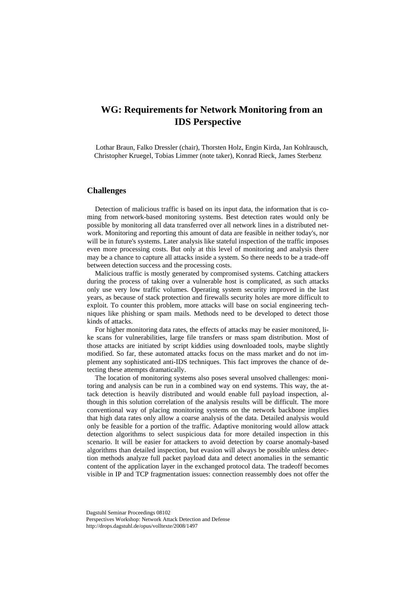# **WG: Requirements for Network Monitoring from an IDS Perspective**

Lothar Braun, Falko Dressler (chair), Thorsten Holz, Engin Kirda, Jan Kohlrausch, Christopher Kruegel, Tobias Limmer (note taker), Konrad Rieck, James Sterbenz

# **Challenges**

Detection of malicious traffic is based on its input data, the information that is coming from network-based monitoring systems. Best detection rates would only be possible by monitoring all data transferred over all network lines in a distributed network. Monitoring and reporting this amount of data are feasible in neither today's, nor will be in future's systems. Later analysis like stateful inspection of the traffic imposes even more processing costs. But only at this level of monitoring and analysis there may be a chance to capture all attacks inside a system. So there needs to be a trade-off between detection success and the processing costs.

Malicious traffic is mostly generated by compromised systems. Catching attackers during the process of taking over a vulnerable host is complicated, as such attacks only use very low traffic volumes. Operating system security improved in the last years, as because of stack protection and firewalls security holes are more difficult to exploit. To counter this problem, more attacks will base on social engineering techniques like phishing or spam mails. Methods need to be developed to detect those kinds of attacks.

For higher monitoring data rates, the effects of attacks may be easier monitored, like scans for vulnerabilities, large file transfers or mass spam distribution. Most of those attacks are initiated by script kiddies using downloaded tools, maybe slightly modified. So far, these automated attacks focus on the mass market and do not implement any sophisticated anti-IDS techniques. This fact improves the chance of detecting these attempts dramatically.

The location of monitoring systems also poses several unsolved challenges: monitoring and analysis can be run in a combined way on end systems. This way, the attack detection is heavily distributed and would enable full payload inspection, although in this solution correlation of the analysis results will be difficult. The more conventional way of placing monitoring systems on the network backbone implies that high data rates only allow a coarse analysis of the data. Detailed analysis would only be feasible for a portion of the traffic. Adaptive monitoring would allow attack detection algorithms to select suspicious data for more detailed inspection in this scenario. It will be easier for attackers to avoid detection by coarse anomaly-based algorithms than detailed inspection, but evasion will always be possible unless detection methods analyze full packet payload data and detect anomalies in the semantic content of the application layer in the exchanged protocol data. The tradeoff becomes visible in IP and TCP fragmentation issues: connection reassembly does not offer the

Dagstuhl Seminar Proceedings 08102 Perspectives Workshop: Network Attack Detection and Defense http://drops.dagstuhl.de/opus/volltexte/2008/1497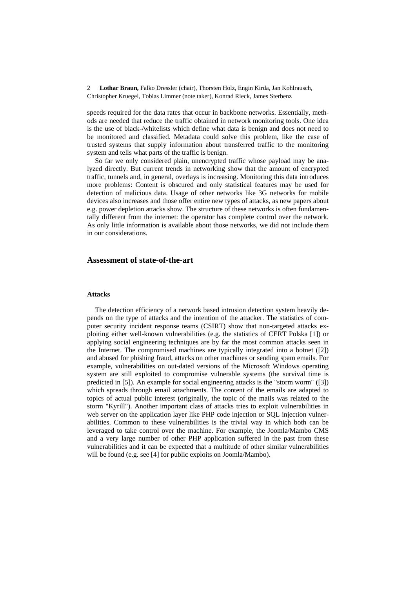2 **Lothar Braun,** Falko Dressler (chair), Thorsten Holz, Engin Kirda, Jan Kohlrausch, Christopher Kruegel, Tobias Limmer (note taker), Konrad Rieck, James Sterbenz

speeds required for the data rates that occur in backbone networks. Essentially, methods are needed that reduce the traffic obtained in network monitoring tools. One idea is the use of black-/whitelists which define what data is benign and does not need to be monitored and classified. Metadata could solve this problem, like the case of trusted systems that supply information about transferred traffic to the monitoring system and tells what parts of the traffic is benign.

So far we only considered plain, unencrypted traffic whose payload may be analyzed directly. But current trends in networking show that the amount of encrypted traffic, tunnels and, in general, overlays is increasing. Monitoring this data introduces more problems: Content is obscured and only statistical features may be used for detection of malicious data. Usage of other networks like 3G networks for mobile devices also increases and those offer entire new types of attacks, as new papers about e.g. power depletion attacks show. The structure of these networks is often fundamentally different from the internet: the operator has complete control over the network. As only little information is available about those networks, we did not include them in our considerations.

### **Assessment of state-of-the-art**

### **Attacks**

The detection efficiency of a network based intrusion detection system heavily depends on the type of attacks and the intention of the attacker. The statistics of computer security incident response teams (CSIRT) show that non-targeted attacks exploiting either well-known vulnerabilities (e.g. the statistics of CERT Polska [1]) or applying social engineering techniques are by far the most common attacks seen in the Internet. The compromised machines are typically integrated into a botnet ([2]) and abused for phishing fraud, attacks on other machines or sending spam emails. For example, vulnerabilities on out-dated versions of the Microsoft Windows operating system are still exploited to compromise vulnerable systems (the survival time is predicted in [5]). An example for social engineering attacks is the "storm worm" ([3]) which spreads through email attachments. The content of the emails are adapted to topics of actual public interest (originally, the topic of the mails was related to the storm "Kyrill"). Another important class of attacks tries to exploit vulnerabilities in web server on the application layer like PHP code injection or SQL injection vulnerabilities. Common to these vulnerabilities is the trivial way in which both can be leveraged to take control over the machine. For example, the Joomla/Mambo CMS and a very large number of other PHP application suffered in the past from these vulnerabilities and it can be expected that a multitude of other similar vulnerabilities will be found (e.g. see [4] for public exploits on Joomla/Mambo).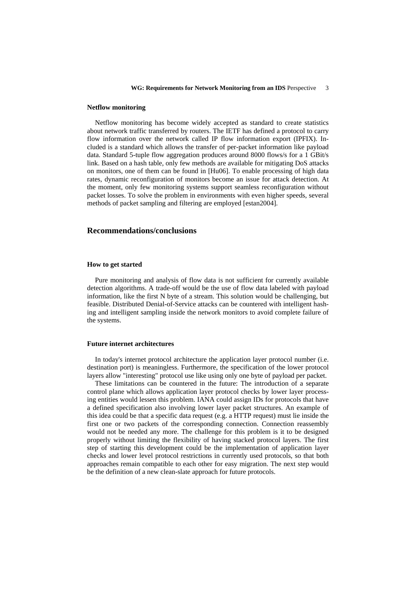#### **Netflow monitoring**

Netflow monitoring has become widely accepted as standard to create statistics about network traffic transferred by routers. The IETF has defined a protocol to carry flow information over the network called IP flow information export (IPFIX). Included is a standard which allows the transfer of per-packet information like payload data. Standard 5-tuple flow aggregation produces around 8000 flows/s for a 1 GBit/s link. Based on a hash table, only few methods are available for mitigating DoS attacks on monitors, one of them can be found in [Hu06]. To enable processing of high data rates, dynamic reconfiguration of monitors become an issue for attack detection. At the moment, only few monitoring systems support seamless reconfiguration without packet losses. To solve the problem in environments with even higher speeds, several methods of packet sampling and filtering are employed [estan2004].

## **Recommendations/conclusions**

#### **How to get started**

Pure monitoring and analysis of flow data is not sufficient for currently available detection algorithms. A trade-off would be the use of flow data labeled with payload information, like the first N byte of a stream. This solution would be challenging, but feasible. Distributed Denial-of-Service attacks can be countered with intelligent hashing and intelligent sampling inside the network monitors to avoid complete failure of the systems.

#### **Future internet architectures**

In today's internet protocol architecture the application layer protocol number (i.e. destination port) is meaningless. Furthermore, the specification of the lower protocol layers allow "interesting" protocol use like using only one byte of payload per packet.

These limitations can be countered in the future: The introduction of a separate control plane which allows application layer protocol checks by lower layer processing entities would lessen this problem. IANA could assign IDs for protocols that have a defined specification also involving lower layer packet structures. An example of this idea could be that a specific data request (e.g. a HTTP request) must lie inside the first one or two packets of the corresponding connection. Connection reassembly would not be needed any more. The challenge for this problem is it to be designed properly without limiting the flexibility of having stacked protocol layers. The first step of starting this development could be the implementation of application layer checks and lower level protocol restrictions in currently used protocols, so that both approaches remain compatible to each other for easy migration. The next step would be the definition of a new clean-slate approach for future protocols.